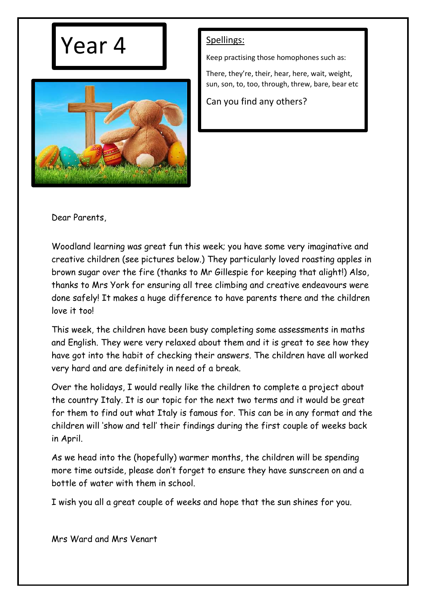



Keep practising those homophones such as:

There, they're, their, hear, here, wait, weight, sun, son, to, too, through, threw, bare, bear etc

Can you find any others?

Dear Parents,

Woodland learning was great fun this week; you have some very imaginative and creative children (see pictures below.) They particularly loved roasting apples in brown sugar over the fire (thanks to Mr Gillespie for keeping that alight!) Also, thanks to Mrs York for ensuring all tree climbing and creative endeavours were done safely! It makes a huge difference to have parents there and the children love it too!

This week, the children have been busy completing some assessments in maths and English. They were very relaxed about them and it is great to see how they have got into the habit of checking their answers. The children have all worked very hard and are definitely in need of a break.

Over the holidays, I would really like the children to complete a project about the country Italy. It is our topic for the next two terms and it would be great for them to find out what Italy is famous for. This can be in any format and the children will 'show and tell' their findings during the first couple of weeks back in April.

As we head into the (hopefully) warmer months, the children will be spending more time outside, please don't forget to ensure they have sunscreen on and a bottle of water with them in school.

I wish you all a great couple of weeks and hope that the sun shines for you.

Mrs Ward and Mrs Venart